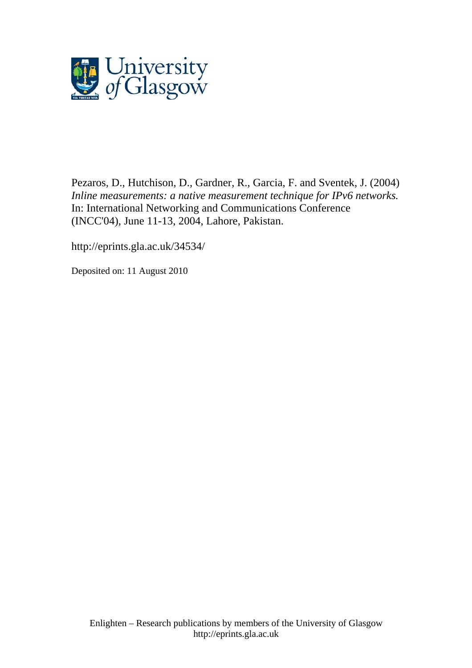

[Pezaros, D.](http://eprints.gla.ac.uk/view/author/5079.html), Hutchison, D., Gardner, R., Garcia, F. and Sventek, J. (2004) *Inline measurements: a native measurement technique for IPv6 networks.* In: International Networking and Communications Conference (INCC'04), June 11-13, 2004, Lahore, Pakistan.

http://eprints.gla.ac.uk/34534/

Deposited on: 11 August 2010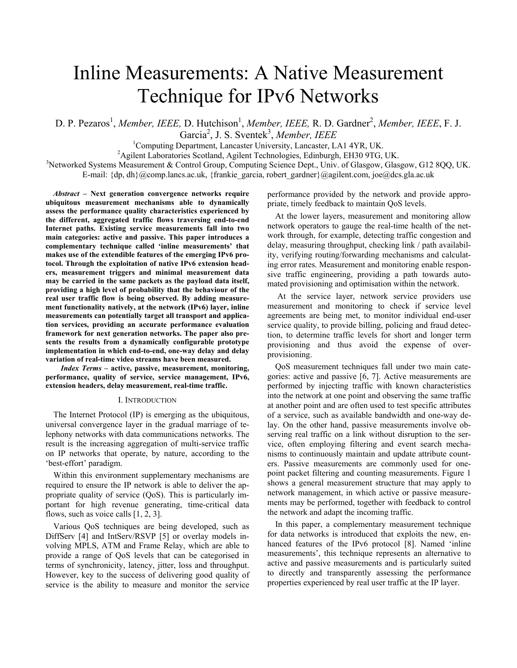# Inline Measurements: A Native Measurement Technique for IPv6 Networks

D. P. Pezaros<sup>1</sup>, *Member, IEEE*, D. Hutchison<sup>1</sup>, *Member, IEEE*, R. D. Gardner<sup>2</sup>, *Member, IEEE*, F. J. Garcia<sup>2</sup>, J. S. Sventek<sup>3</sup>, *Member, IEEE*<br><sup>1</sup>Computing Department I appearts University I appearts I

<sup>1</sup>Computing Department, Lancaster University, Lancaster, LA1 4YR, UK.

<sup>2</sup> Agilent Laboratories Scotland, Agilent Technologies, Edinburgh, EH30 9TG, UK.

<sup>3</sup>Networked Systems Measurement & Control Group, Computing Science Dept., Univ. of Glasgow, Glasgow, G12 8QQ, UK.

E-mail:  $\{dp, dh\}$ @comp.lancs.ac.uk,  $\{frankie-garcia, robot\}$  gardner $\{Qagilent.com, joe@dcs.gla.ac.uk\}$ 

*Abstract* **– Next generation convergence networks require ubiquitous measurement mechanisms able to dynamically assess the performance quality characteristics experienced by the different, aggregated traffic flows traversing end-to-end Internet paths. Existing service measurements fall into two main categories: active and passive. This paper introduces a complementary technique called 'inline measurements' that makes use of the extendible features of the emerging IPv6 protocol. Through the exploitation of native IPv6 extension headers, measurement triggers and minimal measurement data may be carried in the same packets as the payload data itself, providing a high level of probability that the behaviour of the real user traffic flow is being observed. By adding measurement functionality natively, at the network (IPv6) layer, inline measurements can potentially target all transport and application services, providing an accurate performance evaluation framework for next generation networks. The paper also presents the results from a dynamically configurable prototype implementation in which end-to-end, one-way delay and delay variation of real-time video streams have been measured.** 

*Index Terms* **– active, passive, measurement, monitoring, performance, quality of service, service management, IPv6, extension headers, delay measurement, real-time traffic.** 

#### I. INTRODUCTION

The Internet Protocol (IP) is emerging as the ubiquitous, universal convergence layer in the gradual marriage of telephony networks with data communications networks. The result is the increasing aggregation of multi-service traffic on IP networks that operate, by nature, according to the 'best-effort' paradigm.

Within this environment supplementary mechanisms are required to ensure the IP network is able to deliver the appropriate quality of service (QoS). This is particularly important for high revenue generating, time-critical data flows, such as voice calls [1, 2, 3].

Various QoS techniques are being developed, such as DiffServ [4] and IntServ/RSVP [5] or overlay models involving MPLS, ATM and Frame Relay, which are able to provide a range of QoS levels that can be categorised in terms of synchronicity, latency, jitter, loss and throughput. However, key to the success of delivering good quality of service is the ability to measure and monitor the service

performance provided by the network and provide appropriate, timely feedback to maintain QoS levels.

At the lower layers, measurement and monitoring allow network operators to gauge the real-time health of the network through, for example, detecting traffic congestion and delay, measuring throughput, checking link / path availability, verifying routing/forwarding mechanisms and calculating error rates. Measurement and monitoring enable responsive traffic engineering, providing a path towards automated provisioning and optimisation within the network.

 At the service layer, network service providers use measurement and monitoring to check if service level agreements are being met, to monitor individual end-user service quality, to provide billing, policing and fraud detection, to determine traffic levels for short and longer term provisioning and thus avoid the expense of overprovisioning.

QoS measurement techniques fall under two main categories: active and passive [6, 7]. Active measurements are performed by injecting traffic with known characteristics into the network at one point and observing the same traffic at another point and are often used to test specific attributes of a service, such as available bandwidth and one-way delay. On the other hand, passive measurements involve observing real traffic on a link without disruption to the service, often employing filtering and event search mechanisms to continuously maintain and update attribute counters. Passive measurements are commonly used for onepoint packet filtering and counting measurements. Figure 1 shows a general measurement structure that may apply to network management, in which active or passive measurements may be performed, together with feedback to control the network and adapt the incoming traffic.

In this paper, a complementary measurement technique for data networks is introduced that exploits the new, enhanced features of the IPv6 protocol [8]. Named 'inline measurements', this technique represents an alternative to active and passive measurements and is particularly suited to directly and transparently assessing the performance properties experienced by real user traffic at the IP layer.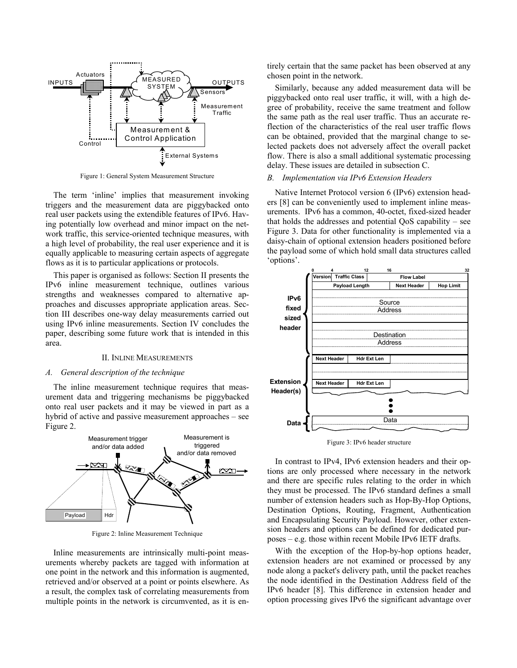

Figure 1: General System Measurement Structure

The term 'inline' implies that measurement invoking triggers and the measurement data are piggybacked onto real user packets using the extendible features of IPv6. Having potentially low overhead and minor impact on the network traffic, this service-oriented technique measures, with a high level of probability, the real user experience and it is equally applicable to measuring certain aspects of aggregate flows as it is to particular applications or protocols.

This paper is organised as follows: Section II presents the IPv6 inline measurement technique, outlines various strengths and weaknesses compared to alternative approaches and discusses appropriate application areas. Section III describes one-way delay measurements carried out using IPv6 inline measurements. Section IV concludes the paper, describing some future work that is intended in this area.

# II. INLINE MEASUREMENTS

## *A. General description of the technique*

The inline measurement technique requires that measurement data and triggering mechanisms be piggybacked onto real user packets and it may be viewed in part as a hybrid of active and passive measurement approaches – see Figure 2.



Figure 2: Inline Measurement Technique

Inline measurements are intrinsically multi-point measurements whereby packets are tagged with information at one point in the network and this information is augmented, retrieved and/or observed at a point or points elsewhere. As a result, the complex task of correlating measurements from multiple points in the network is circumvented, as it is entirely certain that the same packet has been observed at any chosen point in the network.

Similarly, because any added measurement data will be piggybacked onto real user traffic, it will, with a high degree of probability, receive the same treatment and follow the same path as the real user traffic. Thus an accurate reflection of the characteristics of the real user traffic flows can be obtained, provided that the marginal change to selected packets does not adversely affect the overall packet flow. There is also a small additional systematic processing delay. These issues are detailed in subsection C.

# *B. Implementation via IPv6 Extension Headers*

Native Internet Protocol version 6 (IPv6) extension headers [8] can be conveniently used to implement inline measurements. IPv6 has a common, 40-octet, fixed-sized header that holds the addresses and potential QoS capability – see Figure 3. Data for other functionality is implemented via a daisy-chain of optional extension headers positioned before the payload some of which hold small data structures called 'options'.



Figure 3: IPv6 header structure

In contrast to IPv4, IPv6 extension headers and their options are only processed where necessary in the network and there are specific rules relating to the order in which they must be processed. The IPv6 standard defines a small number of extension headers such as Hop-By-Hop Options, Destination Options, Routing, Fragment, Authentication and Encapsulating Security Payload. However, other extension headers and options can be defined for dedicated purposes – e.g. those within recent Mobile IPv6 IETF drafts.

With the exception of the Hop-by-hop options header, extension headers are not examined or processed by any node along a packet's delivery path, until the packet reaches the node identified in the Destination Address field of the IPv6 header [8]. This difference in extension header and option processing gives IPv6 the significant advantage over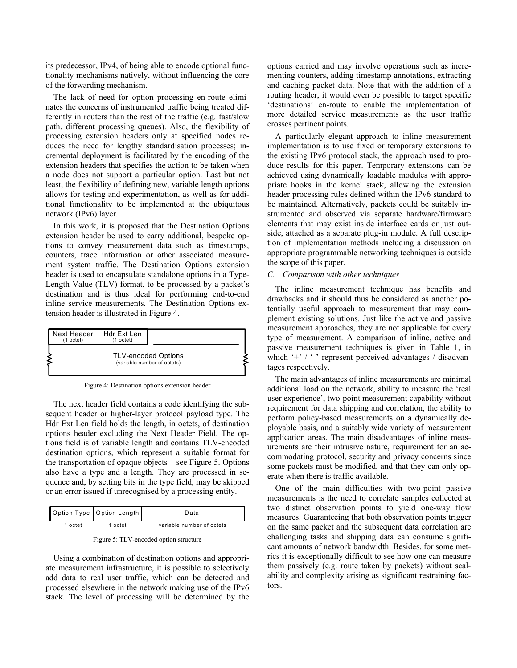its predecessor, IPv4, of being able to encode optional functionality mechanisms natively, without influencing the core of the forwarding mechanism.

The lack of need for option processing en-route eliminates the concerns of instrumented traffic being treated differently in routers than the rest of the traffic (e.g. fast/slow path, different processing queues). Also, the flexibility of processing extension headers only at specified nodes reduces the need for lengthy standardisation processes; incremental deployment is facilitated by the encoding of the extension headers that specifies the action to be taken when a node does not support a particular option. Last but not least, the flexibility of defining new, variable length options allows for testing and experimentation, as well as for additional functionality to be implemented at the ubiquitous network (IPv6) layer.

In this work, it is proposed that the Destination Options extension header be used to carry additional, bespoke options to convey measurement data such as timestamps, counters, trace information or other associated measurement system traffic. The Destination Options extension header is used to encapsulate standalone options in a Type-Length-Value (TLV) format, to be processed by a packet's destination and is thus ideal for performing end-to-end inline service measurements. The Destination Options extension header is illustrated in Figure 4.



Figure 4: Destination options extension header

The next header field contains a code identifying the subsequent header or higher-layer protocol payload type. The Hdr Ext Len field holds the length, in octets, of destination options header excluding the Next Header Field. The options field is of variable length and contains TLV-encoded destination options, which represent a suitable format for the transportation of opaque objects – see Figure 5. Options also have a type and a length. They are processed in sequence and, by setting bits in the type field, may be skipped or an error issued if unrecognised by a processing entity.

|         | Option Type Option Length            | Data |
|---------|--------------------------------------|------|
| 1 octet | variable number of octets<br>1 octet |      |

Figure 5: TLV-encoded option structure

Using a combination of destination options and appropriate measurement infrastructure, it is possible to selectively add data to real user traffic, which can be detected and processed elsewhere in the network making use of the IPv6 stack. The level of processing will be determined by the

options carried and may involve operations such as incrementing counters, adding timestamp annotations, extracting and caching packet data. Note that with the addition of a routing header, it would even be possible to target specific 'destinations' en-route to enable the implementation of more detailed service measurements as the user traffic crosses pertinent points.

A particularly elegant approach to inline measurement implementation is to use fixed or temporary extensions to the existing IPv6 protocol stack, the approach used to produce results for this paper. Temporary extensions can be achieved using dynamically loadable modules with appropriate hooks in the kernel stack, allowing the extension header processing rules defined within the IPv6 standard to be maintained. Alternatively, packets could be suitably instrumented and observed via separate hardware/firmware elements that may exist inside interface cards or just outside, attached as a separate plug-in module. A full description of implementation methods including a discussion on appropriate programmable networking techniques is outside the scope of this paper.

# *C. Comparison with other techniques*

The inline measurement technique has benefits and drawbacks and it should thus be considered as another potentially useful approach to measurement that may complement existing solutions. Just like the active and passive measurement approaches, they are not applicable for every type of measurement. A comparison of inline, active and passive measurement techniques is given in Table 1, in which '+' / '-' represent perceived advantages / disadvantages respectively.

The main advantages of inline measurements are minimal additional load on the network, ability to measure the 'real user experience', two-point measurement capability without requirement for data shipping and correlation, the ability to perform policy-based measurements on a dynamically deployable basis, and a suitably wide variety of measurement application areas. The main disadvantages of inline measurements are their intrusive nature, requirement for an accommodating protocol, security and privacy concerns since some packets must be modified, and that they can only operate when there is traffic available.

One of the main difficulties with two-point passive measurements is the need to correlate samples collected at two distinct observation points to yield one-way flow measures. Guaranteeing that both observation points trigger on the same packet and the subsequent data correlation are challenging tasks and shipping data can consume significant amounts of network bandwidth. Besides, for some metrics it is exceptionally difficult to see how one can measure them passively (e.g. route taken by packets) without scalability and complexity arising as significant restraining factors.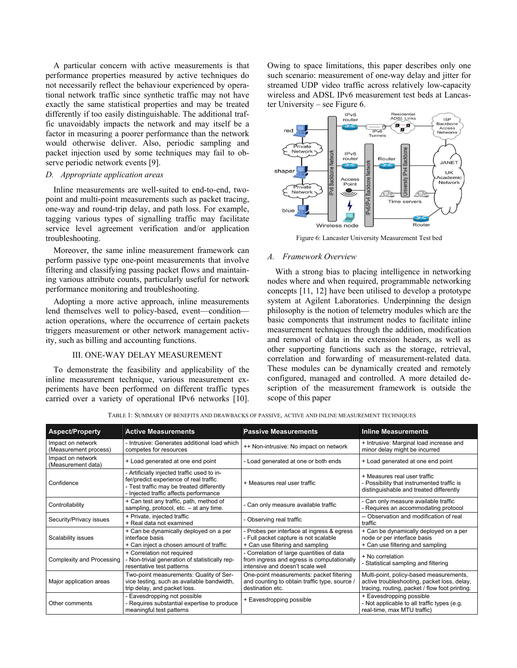A particular concern with active measurements is that performance properties measured by active techniques do not necessarily reflect the behaviour experienced by operational network traffic since synthetic traffic may not have exactly the same statistical properties and may be treated differently if too easily distinguishable. The additional traffic unavoidably impacts the network and may itself be a factor in measuring a poorer performance than the network would otherwise deliver. Also, periodic sampling and packet injection used by some techniques may fail to observe periodic network events [9].

# *D. Appropriate application areas*

Inline measurements are well-suited to end-to-end, twopoint and multi-point measurements such as packet tracing, one-way and round-trip delay, and path loss. For example, tagging various types of signalling traffic may facilitate service level agreement verification and/or application troubleshooting.

Moreover, the same inline measurement framework can perform passive type one-point measurements that involve filtering and classifying passing packet flows and maintaining various attribute counts, particularly useful for network performance monitoring and troubleshooting.

Adopting a more active approach, inline measurements lend themselves well to policy-based, event—condition action operations, where the occurrence of certain packets triggers measurement or other network management activity, such as billing and accounting functions.

# III. ONE-WAY DELAY MEASUREMENT

To demonstrate the feasibility and applicability of the inline measurement technique, various measurement experiments have been performed on different traffic types carried over a variety of operational IPv6 networks [10]. Owing to space limitations, this paper describes only one such scenario: measurement of one-way delay and jitter for streamed UDP video traffic across relatively low-capacity wireless and ADSL IPv6 measurement test beds at Lancaster University – see Figure 6.



Figure 6: Lancaster University Measurement Test bed

# *A. Framework Overview*

With a strong bias to placing intelligence in networking nodes where and when required, programmable networking concepts [11, 12] have been utilised to develop a prototype system at Agilent Laboratories. Underpinning the design philosophy is the notion of telemetry modules which are the basic components that instrument nodes to facilitate inline measurement techniques through the addition, modification and removal of data in the extension headers, as well as other supporting functions such as the storage, retrieval, correlation and forwarding of measurement-related data. These modules can be dynamically created and remotely configured, managed and controlled. A more detailed description of the measurement framework is outside the scope of this paper

| <b>Aspect/Property</b>                     | <b>Active Measurements</b>                                                                                                                                                   | <b>Passive Measurements</b>                                                                                                 | <b>Inline Measurements</b>                                                                                                               |
|--------------------------------------------|------------------------------------------------------------------------------------------------------------------------------------------------------------------------------|-----------------------------------------------------------------------------------------------------------------------------|------------------------------------------------------------------------------------------------------------------------------------------|
| Impact on network<br>(Measurement process) | - Intrusive: Generates additional load which<br>competes for resources                                                                                                       | ++ Non-intrusive: No impact on network                                                                                      | + Intrusive: Marginal load increase and<br>minor delay might be incurred                                                                 |
| Impact on network<br>(Measurement data)    | + Load generated at one end point                                                                                                                                            | - Load generated at one or both ends                                                                                        | + Load generated at one end point                                                                                                        |
| Confidence                                 | - Artificially injected traffic used to in-<br>fer/predict experience of real traffic<br>- Test traffic may be treated differently<br>- Injected traffic affects performance | + Measures real user traffic                                                                                                | + Measures real user traffic<br>- Possibility that instrumented traffic is<br>distinguishable and treated differently                    |
| Controllability                            | + Can test any traffic, path, method of<br>sampling, protocol, etc. - at any time.                                                                                           | - Can only measure available traffic                                                                                        | - Can only measure available traffic<br>- Requires an accommodating protocol                                                             |
| Security/Privacy issues                    | + Private, injected traffic<br>+ Real data not examined                                                                                                                      | - Observing real traffic                                                                                                    | -- Observation and modification of real<br>traffic                                                                                       |
| Scalability issues                         | + Can be dynamically deployed on a per<br>interface basis<br>+ Can inject a chosen amount of traffic                                                                         | Probes per interface at ingress & egress<br>- Full packet capture is not scalable<br>+ Can use filtering and sampling       | + Can be dynamically deployed on a per<br>node or per interface basis<br>+ Can use filtering and sampling                                |
| Complexity and Processing                  | + Correlation not required<br>- Non-trivial generation of statistically rep-<br>resentative test patterns                                                                    | - Correlation of large quantities of data<br>from ingress and egress is computationally<br>intensive and doesn't scale well | + No correlation<br>- Statistical sampling and filtering                                                                                 |
| Major application areas                    | Two-point measurements: Quality of Ser-<br>vice testing, such as available bandwidth,<br>trip delay, and packet loss.                                                        | One-point measurements: packet filtering<br>and counting to obtain traffic type, source /<br>destination etc.               | Multi-point, policy-based measurements,<br>active troubleshooting, packet loss, delay,<br>tracing, routing, packet / flow foot printing. |
| Other comments                             | - Eavesdropping not possible<br>Requires substantial expertise to produce<br>meaningful test patterns                                                                        | + Eavesdropping possible                                                                                                    | + Eavesdropping possible<br>- Not applicable to all traffic types (e.g.<br>real-time, max MTU traffic)                                   |

TABLE 1: SUMMARY OF BENEFITS AND DRAWBACKS OF PASSIVE, ACTIVE AND INLINE MEASUREMENT TECHNIQUES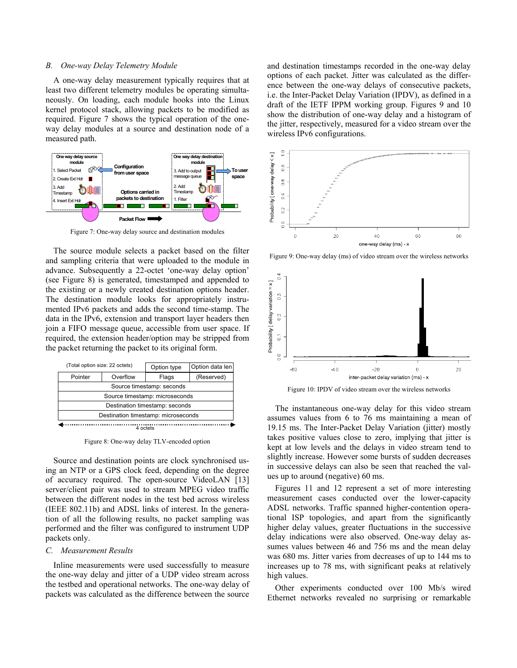# *B. One-way Delay Telemetry Module*

A one-way delay measurement typically requires that at least two different telemetry modules be operating simultaneously. On loading, each module hooks into the Linux kernel protocol stack, allowing packets to be modified as required. Figure 7 shows the typical operation of the oneway delay modules at a source and destination node of a measured path.



Figure 7: One-way delay source and destination modules

The source module selects a packet based on the filter and sampling criteria that were uploaded to the module in advance. Subsequently a 22-octet 'one-way delay option' (see Figure 8) is generated, timestamped and appended to the existing or a newly created destination options header. The destination module looks for appropriately instrumented IPv6 packets and adds the second time-stamp. The data in the IPv6, extension and transport layer headers then join a FIFO message queue, accessible from user space. If required, the extension header/option may be stripped from the packet returning the packet to its original form.

| (Total option size: 22 octets)      |          | Option type | Option data len |  |  |
|-------------------------------------|----------|-------------|-----------------|--|--|
| Pointer                             | Overflow | Flags       | (Reserved)      |  |  |
| Source timestamp: seconds           |          |             |                 |  |  |
| Source timestamp: microseconds      |          |             |                 |  |  |
| Destination timestamp: seconds      |          |             |                 |  |  |
| Destination timestamp: microseconds |          |             |                 |  |  |
| octets                              |          |             |                 |  |  |

Figure 8: One-way delay TLV-encoded option

Source and destination points are clock synchronised using an NTP or a GPS clock feed, depending on the degree of accuracy required. The open-source VideoLAN [13] server/client pair was used to stream MPEG video traffic between the different nodes in the test bed across wireless (IEEE 802.11b) and ADSL links of interest. In the generation of all the following results, no packet sampling was performed and the filter was configured to instrument UDP packets only.

## *C. Measurement Results*

Inline measurements were used successfully to measure the one-way delay and jitter of a UDP video stream across the testbed and operational networks. The one-way delay of packets was calculated as the difference between the source

and destination timestamps recorded in the one-way delay options of each packet. Jitter was calculated as the difference between the one-way delays of consecutive packets, i.e. the Inter-Packet Delay Variation (IPDV), as defined in a draft of the IETF IPPM working group. Figures 9 and 10 show the distribution of one-way delay and a histogram of the jitter, respectively, measured for a video stream over the wireless IPv6 configurations.



Figure 9: One-way delay (ms) of video stream over the wireless networks



Figure 10: IPDV of video stream over the wireless networks

The instantaneous one-way delay for this video stream assumes values from 6 to 76 ms maintaining a mean of 19.15 ms. The Inter-Packet Delay Variation (jitter) mostly takes positive values close to zero, implying that jitter is kept at low levels and the delays in video stream tend to slightly increase. However some bursts of sudden decreases in successive delays can also be seen that reached the values up to around (negative) 60 ms.

Figures 11 and 12 represent a set of more interesting measurement cases conducted over the lower-capacity ADSL networks. Traffic spanned higher-contention operational ISP topologies, and apart from the significantly higher delay values, greater fluctuations in the successive delay indications were also observed. One-way delay assumes values between 46 and 756 ms and the mean delay was 680 ms. Jitter varies from decreases of up to 144 ms to increases up to 78 ms, with significant peaks at relatively high values.

Other experiments conducted over 100 Mb/s wired Ethernet networks revealed no surprising or remarkable